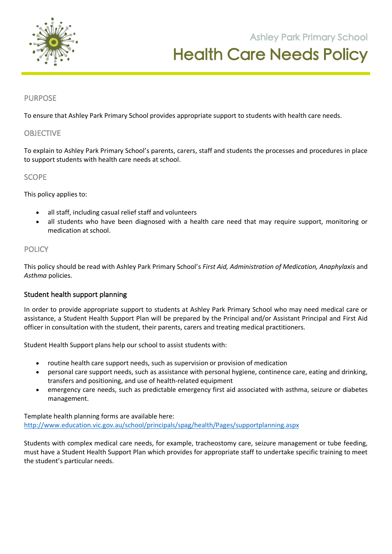

**105 Orchard Road Doreen 3754**

## PURPOSE

To ensure that Ashley Park Primary School provides appropriate support to students with health care needs.

### OBJECTIVE

To explain to Ashley Park Primary School's parents, carers, staff and students the processes and procedures in place to support students with health care needs at school.

## **SCOPE**

This policy applies to:

- all staff, including casual relief staff and volunteers
- all students who have been diagnosed with a health care need that may require support, monitoring or medication at school.

## **POLICY**

This policy should be read with Ashley Park Primary School's *First Aid, Administration of Medication, Anaphylaxis* and *Asthma* policies.

#### Student health support planning

In order to provide appropriate support to students at Ashley Park Primary School who may need medical care or assistance, a Student Health Support Plan will be prepared by the Principal and/or Assistant Principal and First Aid officer in consultation with the student, their parents, carers and treating medical practitioners.

Student Health Support plans help our school to assist students with:

- routine health care support needs, such as supervision or provision of medication
- personal care support needs, such as assistance with personal hygiene, continence care, eating and drinking, transfers and positioning, and use of health-related equipment
- emergency care needs, such as predictable emergency first aid associated with asthma, seizure or diabetes management.

Template health planning forms are available here: http://www.education.vic.gov.au/school/principals/spag/health/Pages/supportplanning.aspx

Students with complex medical care needs, for example, tracheostomy care, seizure management or tube feeding, must have a Student Health Support Plan which provides for appropriate staff to undertake specific training to meet the student's particular needs.